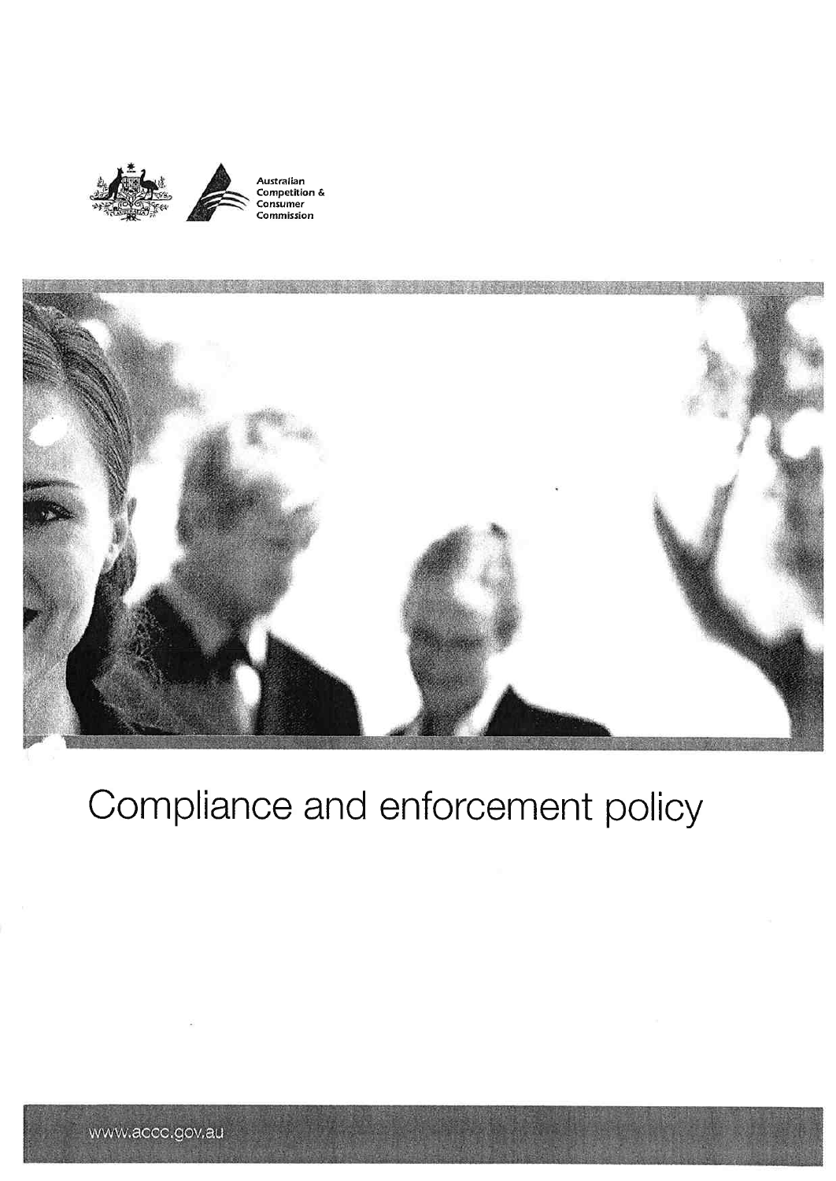



# Compliance and enforcement policy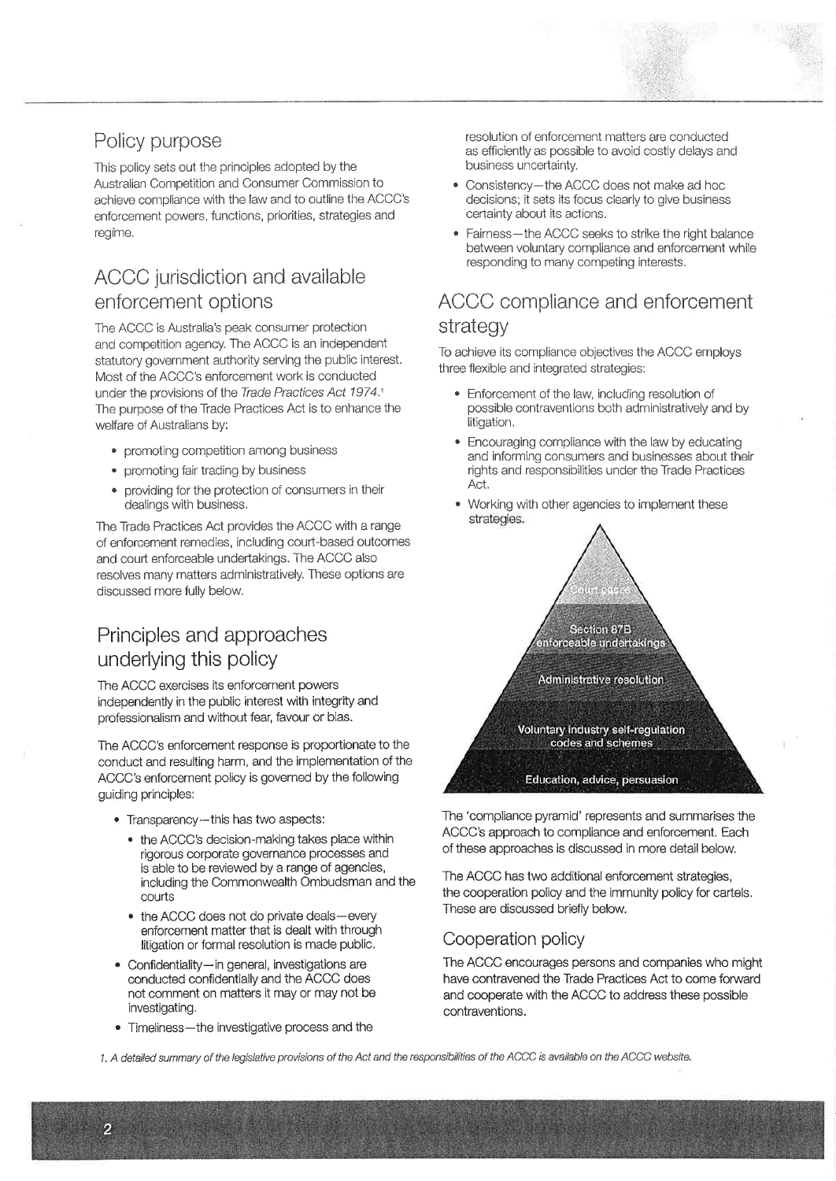## Policy purpose

This policy sets out the principles adopted by the Australian Comoetition and Consumer Commission to achieve compliance with the law and to outline the ACCC's enforcement powers, functions, priorities, strategies and regime.

# ACCC jurisdiction and available enforcement options

The ACCC is Australia's peak consumer protection and competition agency. The ACCC is an independent statutory government authority serving the public interest. Most of the ACCC's enforcement work is conducted under the provisions of the Trade Practices Act 1974.1 The purpose of the Trade Practices Act is to enhance the welfare of Australians by:

- . promoting competition among business
- . promoting fair trading by business
- providing for the protection of consumers in their dealings with business.

The Trade Practices Act provides the ACCC with a range of enforcement remedies, including court-based outcomes and courl enforceable undertakings. The ACCC also resolves many matters administratively. These options are discussed more fully below.

## Principles and approaches underlying this policy

The ACCC exercises its enforcement powers independently in the public interest with integrity and professionalism and without fear, favour or bias.

The ACCC's enforcement response is proportionate to the conduct and resulting harm, and the implementation of the ACCC's enforcement policy is governed by the following guiding principles:

- . Transparency-this has two aspects:
	- . the ACCC's decision-making takes place within rìgorous corporate governance processes and is able to be reviewed by a range of agencies, including the Commonwealth Ombudsman and the courts
	- the ACCC does not do private deals-every enforcement matter that is dealt with through litigation or formal resolution is made public.
- Confidentiality-in general, investigations are conducted confidentially and the ACCC does not comment on matters it may or may not be investigating.
- Timeliness-the investigative process and the

2

resolution of enforcement matters are conducted as efficiently as possible to avoid costly delays and business uncertainty

- . Consistency-the ACCC does not make ad hoc decisions; it sets its focus clearly to give business certainty about its actions.
- Fairness-the ACCC seeks to strike the right balance between voluntary compliance and enforcement while responding to many competing interests.

## ACCC compliance and enforcement strategy

To achieve its compliance objectives the ACCC employs three flexible and integrated strategies:

- . Enforcement of the law, including resolution of possible contraventions both administratively and by litigation.
- . Encouraging compliance with the law by educating and informing consumers and businesses about their rights and responsibilities under the Trade Practices Act.
- . Working with other agencies to implement these strategies.



The'compliance pyramid' represents and summarises the ACCC's approach to compliance and enforcement. Each of these approaches is discussed in more detail below.

The ACCC has two additional enforcement strategies, the cooperation policy and the immunity policy for cartels. These are discussed briefly below

#### Cooperation policy

The ACCC encourages persons and companies who might have contravened the Trade Practices Act to come forward and cooperate with the ACCC to address these possible contraventions.

1. A detailed summary of the legislative provisions of the Act and the responsibilities of the ACCC is available on the ACCC website.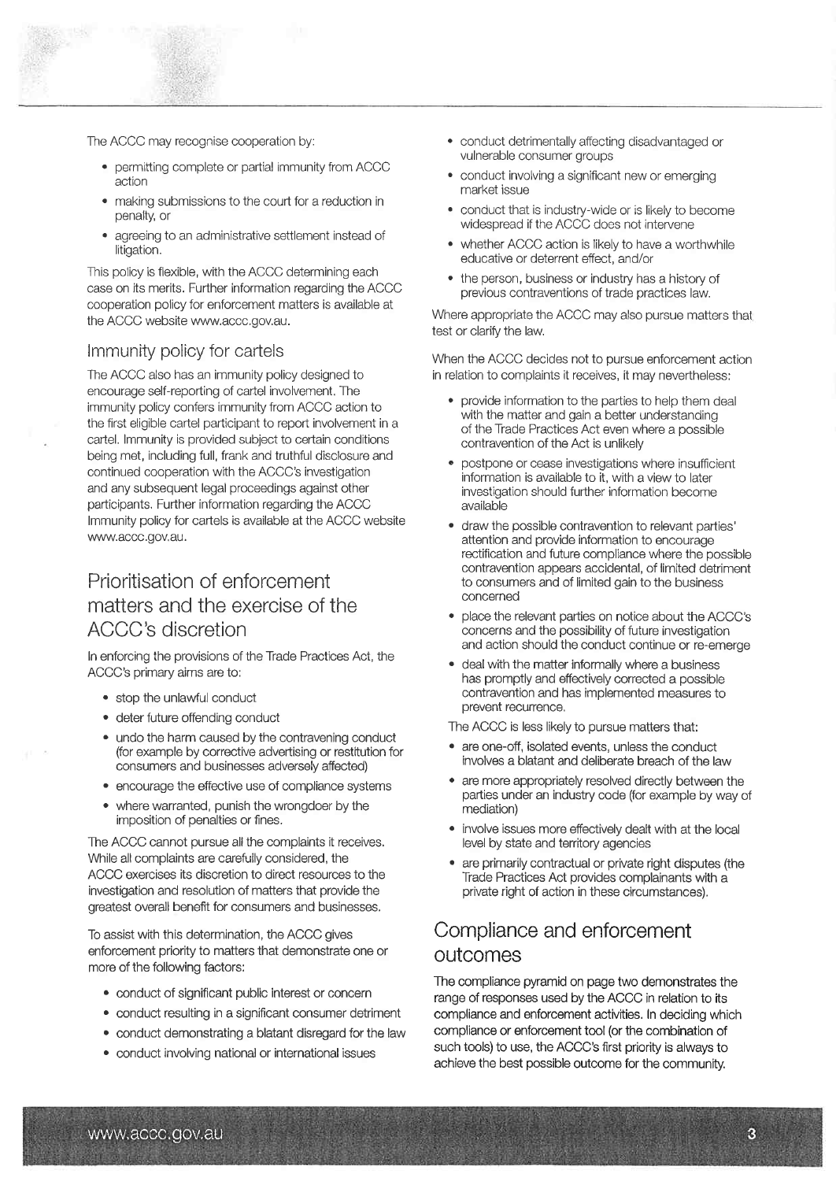The ACCC may recognise cooperation by:

- . permitting complete or partial immunity from ACCC action
- . making submissions to the court for a reduction in penafty, or
- . agreeing to an administrative setilement instead of litigation.

This policy is flexible, with the ACCC determining each case on its merits. Further information regarding the ACCC cooperation policy for enforcement matters is available at the ACCC website www.accc.gov.au.

#### lmmunity policy for cartels

The ACCC also has an immunity policy designed to encourage self-reporting of cartel involvement. The immunity policy confers immunity from ACCC action to the first eligible cartel participant to report involvement in a cartel. lmmunity is provided subject to cerlain conditions being met, including full, frank and truthful disclosure and continued cooperation with the ACCC's investigation and any subsequent legal proceedings against other participants. Further information regarding the ACCC lmmunity policy for caftels is available at the ACCC website www.accc.gov.au.

## Prioritisation of enforcement matters and the exercise of the ACCC's discretion

In enforcing the provisions of the Trade Practices Act, the ACCC's primary aims are to:

- . stoo the unlawful conduct
- . deter future offending conduct
- undo the harm caused by the contravening conduct (for example by corrective adveftising or restitution for consumers and businesses adversely affected)
- encourage the effective use of compliance systems
- . where warranted, punish the wrongdoer by the imposition of penalties or fines.

The ACCC cannot pursue all the complaints it receives. While all complaints are carefully considered, the ACCC exercises its discretion to direct resources to the investigation and resolution of matters that provide the greatest overall beneft for consumers and businesses,

To assist with this determination, the ACCC gives enforcement priority to matters that demonstrate one or more of the following factors:

- . conduct of significant public interest or concern
- . conduct resulting in a signifìcant consumer detriment
- . conduct demonstrating a blatant disregard for the law
- . conduct involving national or international issues
- . conduct detrimentally affecting disadvantaged or vulnerable consumer groups
- . conduct involving a signifìcant new or emerging market issue
- . conduct that is industry-wide or is likely to become widespread if the ACCC does not intervene
- whether ACCC action is likely to have a worthwhile educative or deterrent effect, and/or
- . the person, business or industry has a history of previous contraventions of trade practices law.

Where appropriate the ACCC may also pursue matters that test or clarify the law.

When the ACCC decides not to pursue enforcement action in relation to complaints it receives, it may nevertheless:

- provide information to the parties to help them deal with the matter and gain a better understanding of the Trade Practices Act even where a possible contravention of the Act is unlikely
- postpone or cease investigations where insufficient information is available to it, with a view to later investigation should further information become available
- . draw the possible contravention to relevant parties' attention and provide information to encourage rectification and future compliance where the possible contravention appears accidental, of limited detriment to consumers and of limited gain to the business concerned
- . place the relevant parties on notice about the ACCC's concerns and the possibility of future investigation and action should the conduct continue or re-emerge
- . deal with the matter informally where a business has promptly and effectively corrected a possible contravention and has imolemented measures to prevent recurrence,

The ACCC is less likely to pursue matters that:

- . are one-off, isolated events, unless the conduct involves a blatant and deliberate breach of the law
- . are more appropriately resolved directly between the parties under an industry code (for example by way of mediation)
- . involve issues more effectively dealt with at the local level by state and territory agencies
- . are primarily contractual or private right disputes (the Trade Practices Act provides complainants with a private right of action in these circumstances).

## Compliance and enforcement outcomes

The compliance pyramid on page two demonstrates the range of responses used by the ACCC in relation to its compliance and enforcement activities. In deciding which compliance or enforcement tool (or the combination of such tools) to use, the ACCC's first priority is always to achieve the best possible outcome for the community.